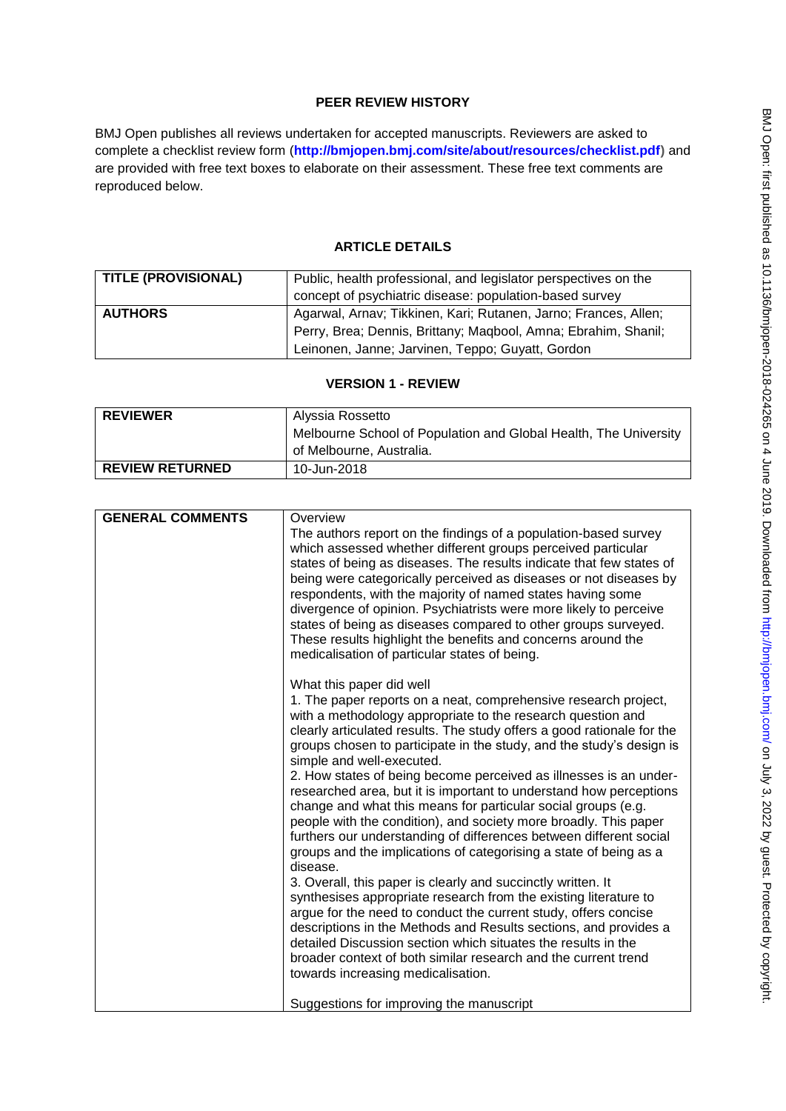# **PEER REVIEW HISTORY**

BMJ Open publishes all reviews undertaken for accepted manuscripts. Reviewers are asked to complete a checklist review form (**[http://bmjopen.bmj.com/site/about/resources/checklist.pdf\)](http://bmjopen.bmj.com/site/about/resources/checklist.pdf)** and are provided with free text boxes to elaborate on their assessment. These free text comments are reproduced below.

# **ARTICLE DETAILS**

| <b>TITLE (PROVISIONAL)</b> | Public, health professional, and legislator perspectives on the |
|----------------------------|-----------------------------------------------------------------|
|                            | concept of psychiatric disease: population-based survey         |
| <b>AUTHORS</b>             | Agarwal, Arnav; Tikkinen, Kari; Rutanen, Jarno; Frances, Allen; |
|                            | Perry, Brea; Dennis, Brittany; Maqbool, Amna; Ebrahim, Shanil;  |
|                            | Leinonen, Janne; Jarvinen, Teppo; Guyatt, Gordon                |

## **VERSION 1 - REVIEW**

| <b>REVIEWER</b>        | Alyssia Rossetto                                                 |
|------------------------|------------------------------------------------------------------|
|                        | Melbourne School of Population and Global Health, The University |
|                        | of Melbourne, Australia.                                         |
| <b>REVIEW RETURNED</b> | 10-Jun-2018                                                      |

| <b>GENERAL COMMENTS</b> | Overview<br>The authors report on the findings of a population-based survey                                                             |
|-------------------------|-----------------------------------------------------------------------------------------------------------------------------------------|
|                         | which assessed whether different groups perceived particular                                                                            |
|                         | states of being as diseases. The results indicate that few states of                                                                    |
|                         | being were categorically perceived as diseases or not diseases by<br>respondents, with the majority of named states having some         |
|                         | divergence of opinion. Psychiatrists were more likely to perceive                                                                       |
|                         | states of being as diseases compared to other groups surveyed.                                                                          |
|                         | These results highlight the benefits and concerns around the                                                                            |
|                         | medicalisation of particular states of being.                                                                                           |
|                         | What this paper did well                                                                                                                |
|                         | 1. The paper reports on a neat, comprehensive research project,                                                                         |
|                         | with a methodology appropriate to the research question and<br>clearly articulated results. The study offers a good rationale for the   |
|                         | groups chosen to participate in the study, and the study's design is                                                                    |
|                         | simple and well-executed.                                                                                                               |
|                         | 2. How states of being become perceived as illnesses is an under-<br>researched area, but it is important to understand how perceptions |
|                         | change and what this means for particular social groups (e.g.                                                                           |
|                         | people with the condition), and society more broadly. This paper                                                                        |
|                         | furthers our understanding of differences between different social                                                                      |
|                         | groups and the implications of categorising a state of being as a<br>disease.                                                           |
|                         | 3. Overall, this paper is clearly and succinctly written. It                                                                            |
|                         | synthesises appropriate research from the existing literature to                                                                        |
|                         | argue for the need to conduct the current study, offers concise<br>descriptions in the Methods and Results sections, and provides a     |
|                         | detailed Discussion section which situates the results in the                                                                           |
|                         | broader context of both similar research and the current trend                                                                          |
|                         | towards increasing medicalisation.                                                                                                      |
|                         | Suggestions for improving the manuscript                                                                                                |
|                         |                                                                                                                                         |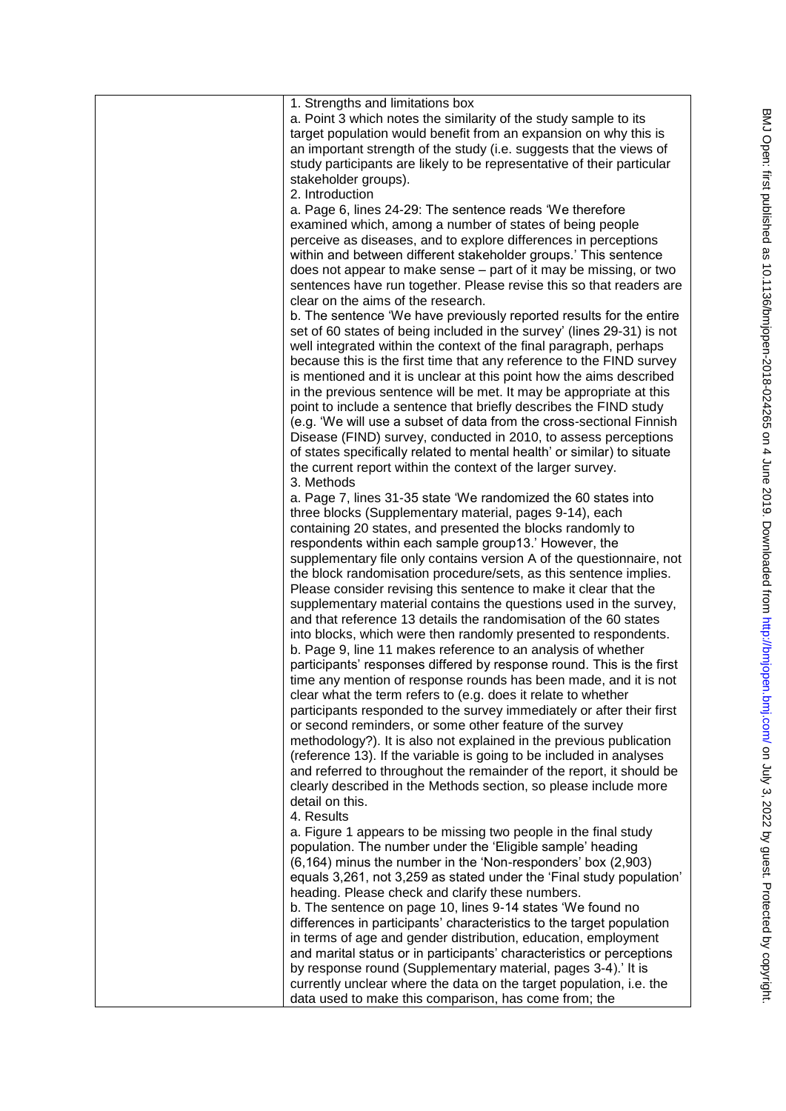| 1. Strengths and limitations box<br>a. Point 3 which notes the similarity of the study sample to its<br>target population would benefit from an expansion on why this is<br>an important strength of the study (i.e. suggests that the views of<br>study participants are likely to be representative of their particular<br>stakeholder groups).<br>2. Introduction<br>a. Page 6, lines 24-29: The sentence reads 'We therefore                                                              |
|-----------------------------------------------------------------------------------------------------------------------------------------------------------------------------------------------------------------------------------------------------------------------------------------------------------------------------------------------------------------------------------------------------------------------------------------------------------------------------------------------|
| examined which, among a number of states of being people<br>perceive as diseases, and to explore differences in perceptions<br>within and between different stakeholder groups.' This sentence<br>does not appear to make sense - part of it may be missing, or two<br>sentences have run together. Please revise this so that readers are<br>clear on the aims of the research.                                                                                                              |
| b. The sentence 'We have previously reported results for the entire<br>set of 60 states of being included in the survey' (lines 29-31) is not<br>well integrated within the context of the final paragraph, perhaps<br>because this is the first time that any reference to the FIND survey<br>is mentioned and it is unclear at this point how the aims described<br>in the previous sentence will be met. It may be appropriate at this                                                     |
| point to include a sentence that briefly describes the FIND study<br>(e.g. 'We will use a subset of data from the cross-sectional Finnish<br>Disease (FIND) survey, conducted in 2010, to assess perceptions<br>of states specifically related to mental health' or similar) to situate<br>the current report within the context of the larger survey.<br>3. Methods                                                                                                                          |
| a. Page 7, lines 31-35 state 'We randomized the 60 states into<br>three blocks (Supplementary material, pages 9-14), each<br>containing 20 states, and presented the blocks randomly to<br>respondents within each sample group13.' However, the<br>supplementary file only contains version A of the questionnaire, not                                                                                                                                                                      |
| the block randomisation procedure/sets, as this sentence implies.<br>Please consider revising this sentence to make it clear that the<br>supplementary material contains the questions used in the survey,<br>and that reference 13 details the randomisation of the 60 states<br>into blocks, which were then randomly presented to respondents.<br>b. Page 9, line 11 makes reference to an analysis of whether                                                                             |
| participants' responses differed by response round. This is the first<br>time any mention of response rounds has been made, and it is not<br>clear what the term refers to (e.g. does it relate to whether<br>participants responded to the survey immediately or after their first<br>or second reminders, or some other feature of the survey<br>methodology?). It is also not explained in the previous publication<br>(reference 13). If the variable is going to be included in analyses |
| and referred to throughout the remainder of the report, it should be<br>clearly described in the Methods section, so please include more<br>detail on this.<br>4. Results<br>a. Figure 1 appears to be missing two people in the final study                                                                                                                                                                                                                                                  |
| population. The number under the 'Eligible sample' heading<br>(6,164) minus the number in the 'Non-responders' box (2,903)<br>equals 3,261, not 3,259 as stated under the 'Final study population'<br>heading. Please check and clarify these numbers.<br>b. The sentence on page 10, lines 9-14 states 'We found no                                                                                                                                                                          |
| differences in participants' characteristics to the target population<br>in terms of age and gender distribution, education, employment<br>and marital status or in participants' characteristics or perceptions<br>by response round (Supplementary material, pages 3-4).' It is<br>currently unclear where the data on the target population, i.e. the<br>data used to make this comparison, has come from; the                                                                             |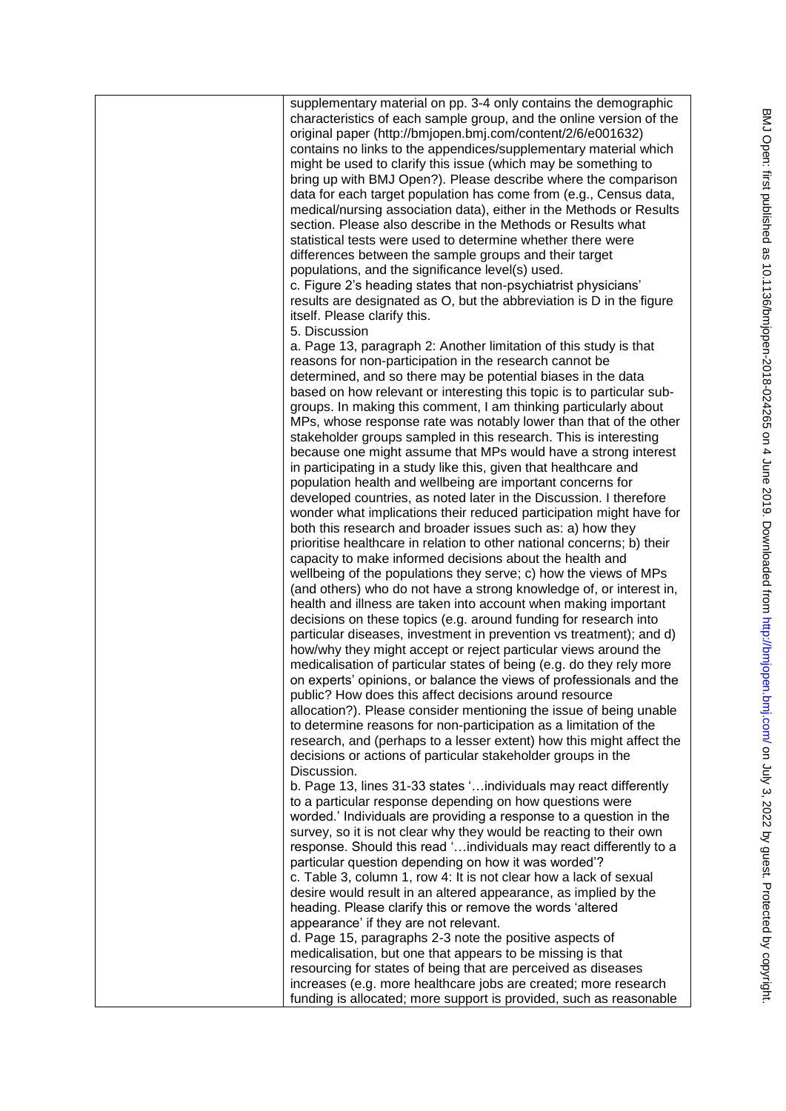supplementary material on pp. 3-4 only contains the demographic characteristics of each sample group, and the online version of the original paper (http://bmjopen.bmj.com/content/2/6/e001632) contains no links to the appendices/supplementary material which might be used to clarify this issue (which may be something to bring up with BMJ Open?). Please describe where the comparison data for each target population has come from (e.g., Census data, medical/nursing association data), either in the Methods or Results section. Please also describe in the Methods or Results what statistical tests were used to determine whether there were differences between the sample groups and their target populations, and the significance level(s) used. c. Figure 2's heading states that non-psychiatrist physicians' results are designated as O, but the abbreviation is D in the figure itself. Please clarify this. 5. Discussion a. Page 13, paragraph 2: Another limitation of this study is that reasons for non-participation in the research cannot be determined, and so there may be potential biases in the data based on how relevant or interesting this topic is to particular subgroups. In making this comment, I am thinking particularly about MPs, whose response rate was notably lower than that of the other stakeholder groups sampled in this research. This is interesting because one might assume that MPs would have a strong interest in participating in a study like this, given that healthcare and population health and wellbeing are important concerns for developed countries, as noted later in the Discussion. I therefore wonder what implications their reduced participation might have for both this research and broader issues such as: a) how they prioritise healthcare in relation to other national concerns; b) their capacity to make informed decisions about the health and wellbeing of the populations they serve; c) how the views of MPs (and others) who do not have a strong knowledge of, or interest in, health and illness are taken into account when making important decisions on these topics (e.g. around funding for research into particular diseases, investment in prevention vs treatment); and d) how/why they might accept or reject particular views around the medicalisation of particular states of being (e.g. do they rely more on experts' opinions, or balance the views of professionals and the public? How does this affect decisions around resource allocation?). Please consider mentioning the issue of being unable to determine reasons for non-participation as a limitation of the research, and (perhaps to a lesser extent) how this might affect the decisions or actions of particular stakeholder groups in the Discussion. b. Page 13, lines 31-33 states '…individuals may react differently to a particular response depending on how questions were worded.' Individuals are providing a response to a question in the survey, so it is not clear why they would be reacting to their own response. Should this read '…individuals may react differently to a particular question depending on how it was worded'? c. Table 3, column 1, row 4: It is not clear how a lack of sexual desire would result in an altered appearance, as implied by the heading. Please clarify this or remove the words 'altered appearance' if they are not relevant. d. Page 15, paragraphs 2-3 note the positive aspects of medicalisation, but one that appears to be missing is that resourcing for states of being that are perceived as diseases increases (e.g. more healthcare jobs are created; more research funding is allocated; more support is provided, such as reasonable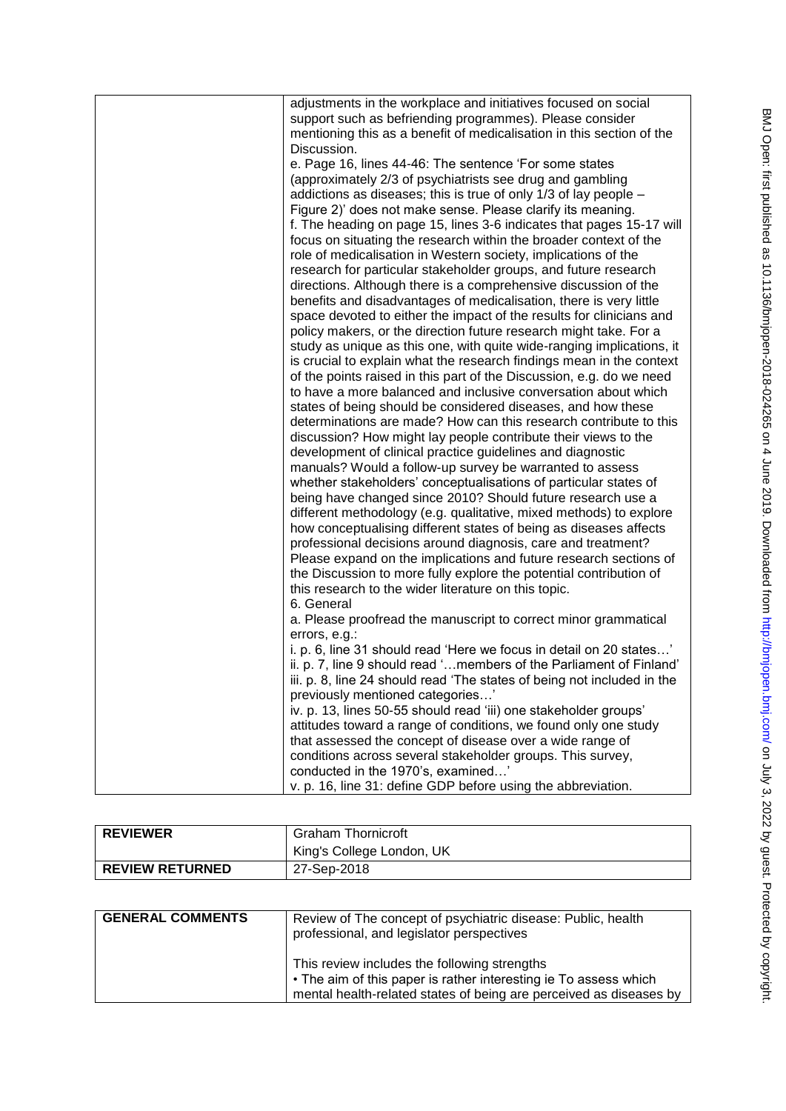| adjustments in the workplace and initiatives focused on social          |
|-------------------------------------------------------------------------|
| support such as befriending programmes). Please consider                |
| mentioning this as a benefit of medicalisation in this section of the   |
| Discussion.                                                             |
| e. Page 16, lines 44-46: The sentence 'For some states                  |
| (approximately 2/3 of psychiatrists see drug and gambling               |
| addictions as diseases; this is true of only 1/3 of lay people -        |
| Figure 2)' does not make sense. Please clarify its meaning.             |
| f. The heading on page 15, lines 3-6 indicates that pages 15-17 will    |
| focus on situating the research within the broader context of the       |
| role of medicalisation in Western society, implications of the          |
| research for particular stakeholder groups, and future research         |
| directions. Although there is a comprehensive discussion of the         |
| benefits and disadvantages of medicalisation, there is very little      |
|                                                                         |
| space devoted to either the impact of the results for clinicians and    |
| policy makers, or the direction future research might take. For a       |
| study as unique as this one, with quite wide-ranging implications, it   |
| is crucial to explain what the research findings mean in the context    |
| of the points raised in this part of the Discussion, e.g. do we need    |
| to have a more balanced and inclusive conversation about which          |
| states of being should be considered diseases, and how these            |
| determinations are made? How can this research contribute to this       |
| discussion? How might lay people contribute their views to the          |
| development of clinical practice guidelines and diagnostic              |
| manuals? Would a follow-up survey be warranted to assess                |
| whether stakeholders' conceptualisations of particular states of        |
| being have changed since 2010? Should future research use a             |
| different methodology (e.g. qualitative, mixed methods) to explore      |
| how conceptualising different states of being as diseases affects       |
| professional decisions around diagnosis, care and treatment?            |
| Please expand on the implications and future research sections of       |
| the Discussion to more fully explore the potential contribution of      |
| this research to the wider literature on this topic.                    |
| 6. General                                                              |
| a. Please proofread the manuscript to correct minor grammatical         |
| errors, e.g.:                                                           |
| i. p. 6, line 31 should read 'Here we focus in detail on 20 states'     |
| ii. p. 7, line 9 should read 'members of the Parliament of Finland'     |
| iii. p. 8, line 24 should read 'The states of being not included in the |
| previously mentioned categories'                                        |
| iv. p. 13, lines 50-55 should read 'iii) one stakeholder groups'        |
| attitudes toward a range of conditions, we found only one study         |
| that assessed the concept of disease over a wide range of               |
| conditions across several stakeholder groups. This survey,              |
|                                                                         |
| conducted in the 1970's, examined'                                      |
| v. p. 16, line 31: define GDP before using the abbreviation.            |

| <b>REVIEWER</b>        | <b>Graham Thornicroft</b> |
|------------------------|---------------------------|
|                        | King's College London, UK |
| <b>REVIEW RETURNED</b> | 27-Sep-2018               |

| <b>GENERAL COMMENTS</b> | Review of The concept of psychiatric disease: Public, health<br>professional, and legislator perspectives                                                                              |
|-------------------------|----------------------------------------------------------------------------------------------------------------------------------------------------------------------------------------|
|                         | This review includes the following strengths<br>• The aim of this paper is rather interesting ie To assess which<br>mental health-related states of being are perceived as diseases by |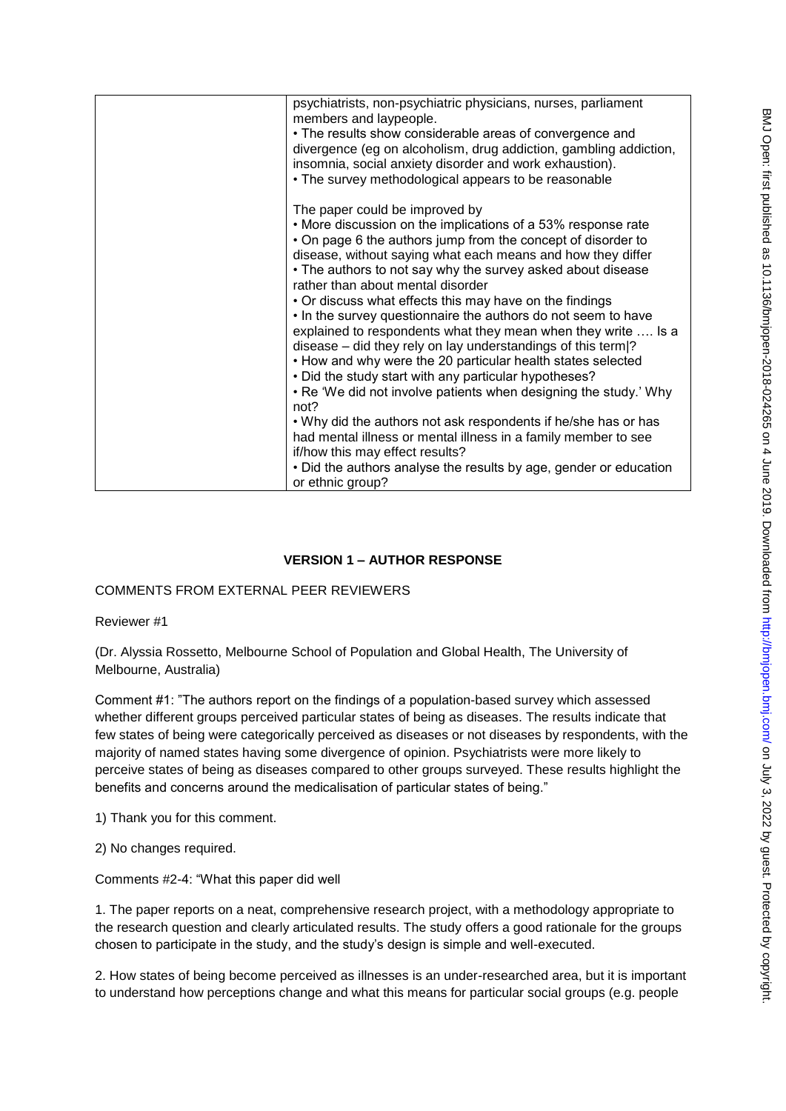| psychiatrists, non-psychiatric physicians, nurses, parliament<br>members and laypeople.<br>• The results show considerable areas of convergence and<br>divergence (eg on alcoholism, drug addiction, gambling addiction,<br>insomnia, social anxiety disorder and work exhaustion).<br>• The survey methodological appears to be reasonable                                                                                                                                                                                                                                                                                                                                                                                                                                                                                                                                                                                                                                                                                                                             |
|-------------------------------------------------------------------------------------------------------------------------------------------------------------------------------------------------------------------------------------------------------------------------------------------------------------------------------------------------------------------------------------------------------------------------------------------------------------------------------------------------------------------------------------------------------------------------------------------------------------------------------------------------------------------------------------------------------------------------------------------------------------------------------------------------------------------------------------------------------------------------------------------------------------------------------------------------------------------------------------------------------------------------------------------------------------------------|
| The paper could be improved by<br>• More discussion on the implications of a 53% response rate<br>• On page 6 the authors jump from the concept of disorder to<br>disease, without saying what each means and how they differ<br>• The authors to not say why the survey asked about disease<br>rather than about mental disorder<br>• Or discuss what effects this may have on the findings<br>. In the survey questionnaire the authors do not seem to have<br>explained to respondents what they mean when they write  Is a<br>disease $-$ did they rely on lay understandings of this term $ ?$<br>• How and why were the 20 particular health states selected<br>. Did the study start with any particular hypotheses?<br>• Re 'We did not involve patients when designing the study.' Why<br>not?<br>. Why did the authors not ask respondents if he/she has or has<br>had mental illness or mental illness in a family member to see<br>if/how this may effect results?<br>• Did the authors analyse the results by age, gender or education<br>or ethnic group? |

# **VERSION 1 – AUTHOR RESPONSE**

## COMMENTS FROM EXTERNAL PEER REVIEWERS

### Reviewer #1

(Dr. Alyssia Rossetto, Melbourne School of Population and Global Health, The University of Melbourne, Australia)

Comment #1: "The authors report on the findings of a population-based survey which assessed whether different groups perceived particular states of being as diseases. The results indicate that few states of being were categorically perceived as diseases or not diseases by respondents, with the majority of named states having some divergence of opinion. Psychiatrists were more likely to perceive states of being as diseases compared to other groups surveyed. These results highlight the benefits and concerns around the medicalisation of particular states of being."

1) Thank you for this comment.

2) No changes required.

Comments #2-4: "What this paper did well

1. The paper reports on a neat, comprehensive research project, with a methodology appropriate to the research question and clearly articulated results. The study offers a good rationale for the groups chosen to participate in the study, and the study's design is simple and well-executed.

2. How states of being become perceived as illnesses is an under-researched area, but it is important to understand how perceptions change and what this means for particular social groups (e.g. people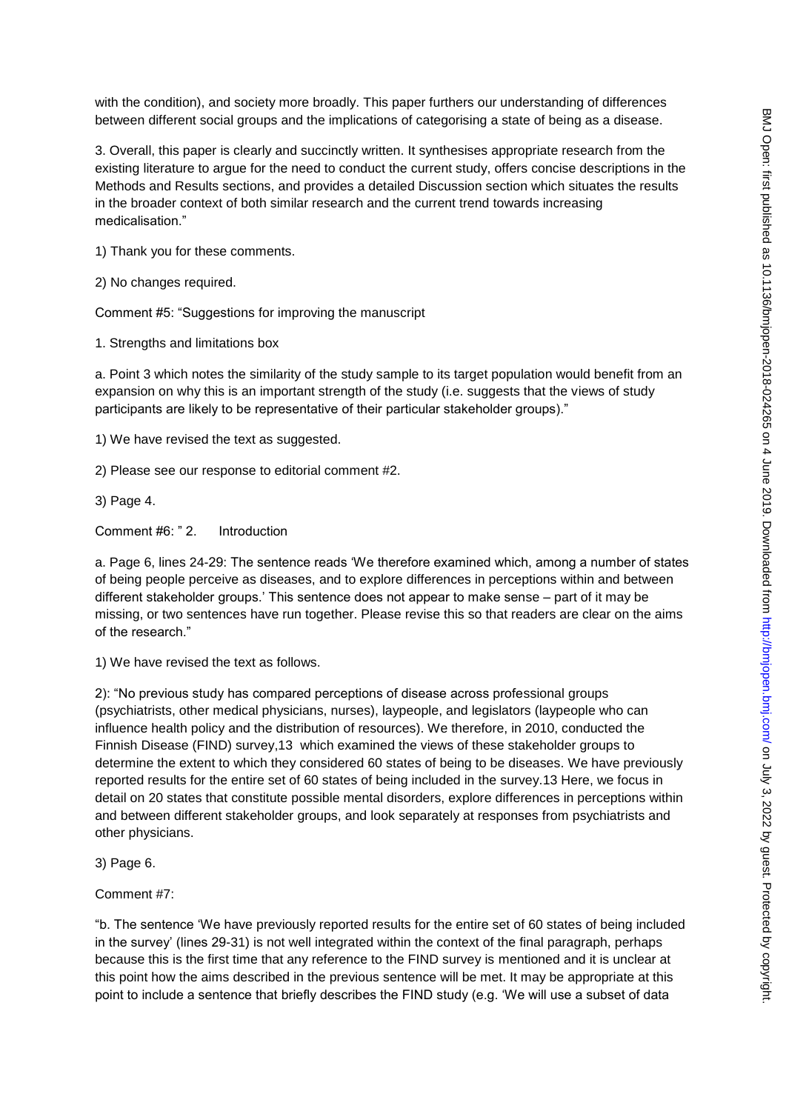with the condition), and society more broadly. This paper furthers our understanding of differences between different social groups and the implications of categorising a state of being as a disease.

3. Overall, this paper is clearly and succinctly written. It synthesises appropriate research from the existing literature to argue for the need to conduct the current study, offers concise descriptions in the Methods and Results sections, and provides a detailed Discussion section which situates the results in the broader context of both similar research and the current trend towards increasing medicalisation."

1) Thank you for these comments.

2) No changes required.

Comment #5: "Suggestions for improving the manuscript

1. Strengths and limitations box

a. Point 3 which notes the similarity of the study sample to its target population would benefit from an expansion on why this is an important strength of the study (i.e. suggests that the views of study participants are likely to be representative of their particular stakeholder groups)."

1) We have revised the text as suggested.

2) Please see our response to editorial comment #2.

3) Page 4.

Comment #6: " 2. Introduction

a. Page 6, lines 24-29: The sentence reads 'We therefore examined which, among a number of states of being people perceive as diseases, and to explore differences in perceptions within and between different stakeholder groups.' This sentence does not appear to make sense – part of it may be missing, or two sentences have run together. Please revise this so that readers are clear on the aims of the research."

1) We have revised the text as follows.

2): "No previous study has compared perceptions of disease across professional groups (psychiatrists, other medical physicians, nurses), laypeople, and legislators (laypeople who can influence health policy and the distribution of resources). We therefore, in 2010, conducted the Finnish Disease (FIND) survey,13 which examined the views of these stakeholder groups to determine the extent to which they considered 60 states of being to be diseases. We have previously reported results for the entire set of 60 states of being included in the survey.13 Here, we focus in detail on 20 states that constitute possible mental disorders, explore differences in perceptions within and between different stakeholder groups, and look separately at responses from psychiatrists and other physicians.

3) Page 6.

Comment #7:

"b. The sentence 'We have previously reported results for the entire set of 60 states of being included in the survey' (lines 29-31) is not well integrated within the context of the final paragraph, perhaps because this is the first time that any reference to the FIND survey is mentioned and it is unclear at this point how the aims described in the previous sentence will be met. It may be appropriate at this point to include a sentence that briefly describes the FIND study (e.g. 'We will use a subset of data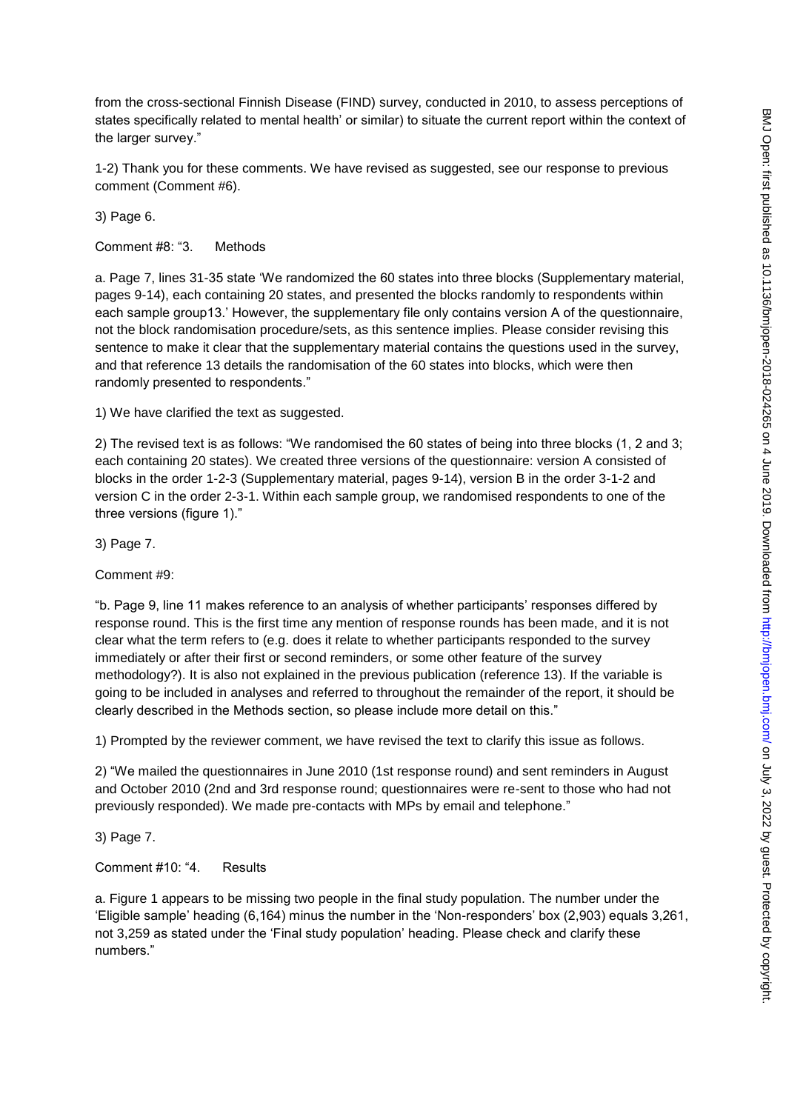from the cross-sectional Finnish Disease (FIND) survey, conducted in 2010, to assess perceptions of states specifically related to mental health' or similar) to situate the current report within the context of the larger survey."

1-2) Thank you for these comments. We have revised as suggested, see our response to previous comment (Comment #6).

3) Page 6.

Comment #8: "3. Methods

a. Page 7, lines 31-35 state 'We randomized the 60 states into three blocks (Supplementary material, pages 9-14), each containing 20 states, and presented the blocks randomly to respondents within each sample group13.' However, the supplementary file only contains version A of the questionnaire, not the block randomisation procedure/sets, as this sentence implies. Please consider revising this sentence to make it clear that the supplementary material contains the questions used in the survey, and that reference 13 details the randomisation of the 60 states into blocks, which were then randomly presented to respondents."

1) We have clarified the text as suggested.

2) The revised text is as follows: "We randomised the 60 states of being into three blocks (1, 2 and 3; each containing 20 states). We created three versions of the questionnaire: version A consisted of blocks in the order 1-2-3 (Supplementary material, pages 9-14), version B in the order 3-1-2 and version C in the order 2-3-1. Within each sample group, we randomised respondents to one of the three versions (figure 1)."

3) Page 7.

Comment #9:

"b. Page 9, line 11 makes reference to an analysis of whether participants' responses differed by response round. This is the first time any mention of response rounds has been made, and it is not clear what the term refers to (e.g. does it relate to whether participants responded to the survey immediately or after their first or second reminders, or some other feature of the survey methodology?). It is also not explained in the previous publication (reference 13). If the variable is going to be included in analyses and referred to throughout the remainder of the report, it should be clearly described in the Methods section, so please include more detail on this."

1) Prompted by the reviewer comment, we have revised the text to clarify this issue as follows.

2) "We mailed the questionnaires in June 2010 (1st response round) and sent reminders in August and October 2010 (2nd and 3rd response round; questionnaires were re-sent to those who had not previously responded). We made pre-contacts with MPs by email and telephone."

3) Page 7.

Comment #10: "4. Results

a. Figure 1 appears to be missing two people in the final study population. The number under the 'Eligible sample' heading (6,164) minus the number in the 'Non-responders' box (2,903) equals 3,261, not 3,259 as stated under the 'Final study population' heading. Please check and clarify these numbers."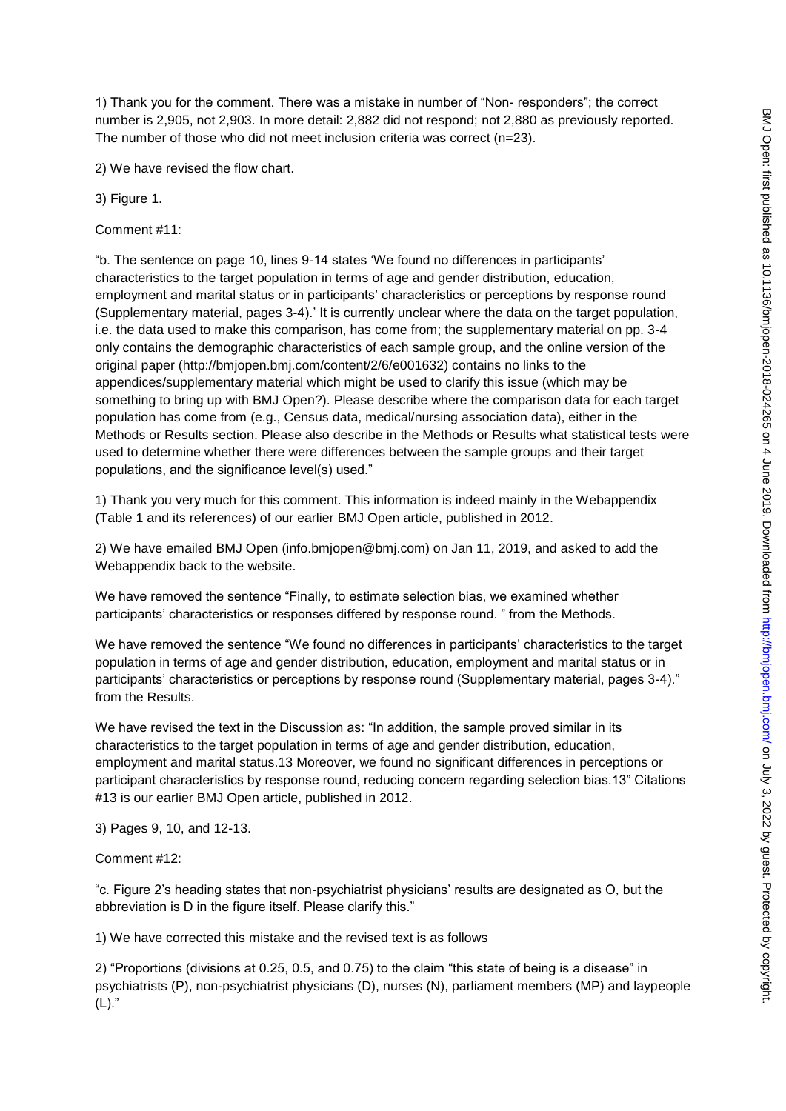1) Thank you for the comment. There was a mistake in number of "Non- responders"; the correct number is 2,905, not 2,903. In more detail: 2,882 did not respond; not 2,880 as previously reported. The number of those who did not meet inclusion criteria was correct (n=23).

2) We have revised the flow chart.

3) Figure 1.

Comment #11:

"b. The sentence on page 10, lines 9-14 states 'We found no differences in participants' characteristics to the target population in terms of age and gender distribution, education, employment and marital status or in participants' characteristics or perceptions by response round (Supplementary material, pages 3-4).' It is currently unclear where the data on the target population, i.e. the data used to make this comparison, has come from; the supplementary material on pp. 3-4 only contains the demographic characteristics of each sample group, and the online version of the original paper (http://bmjopen.bmj.com/content/2/6/e001632) contains no links to the appendices/supplementary material which might be used to clarify this issue (which may be something to bring up with BMJ Open?). Please describe where the comparison data for each target population has come from (e.g., Census data, medical/nursing association data), either in the Methods or Results section. Please also describe in the Methods or Results what statistical tests were used to determine whether there were differences between the sample groups and their target populations, and the significance level(s) used."

1) Thank you very much for this comment. This information is indeed mainly in the Webappendix (Table 1 and its references) of our earlier BMJ Open article, published in 2012.

2) We have emailed BMJ Open (info.bmjopen@bmj.com) on Jan 11, 2019, and asked to add the Webappendix back to the website.

We have removed the sentence "Finally, to estimate selection bias, we examined whether participants' characteristics or responses differed by response round. " from the Methods.

We have removed the sentence "We found no differences in participants' characteristics to the target population in terms of age and gender distribution, education, employment and marital status or in participants' characteristics or perceptions by response round (Supplementary material, pages 3-4)." from the Results.

We have revised the text in the Discussion as: "In addition, the sample proved similar in its characteristics to the target population in terms of age and gender distribution, education, employment and marital status.13 Moreover, we found no significant differences in perceptions or participant characteristics by response round, reducing concern regarding selection bias.13" Citations #13 is our earlier BMJ Open article, published in 2012.

3) Pages 9, 10, and 12-13.

Comment #12:

"c. Figure 2's heading states that non-psychiatrist physicians' results are designated as O, but the abbreviation is D in the figure itself. Please clarify this."

1) We have corrected this mistake and the revised text is as follows

2) "Proportions (divisions at 0.25, 0.5, and 0.75) to the claim "this state of being is a disease" in psychiatrists (P), non-psychiatrist physicians (D), nurses (N), parliament members (MP) and laypeople  $(L)$ ."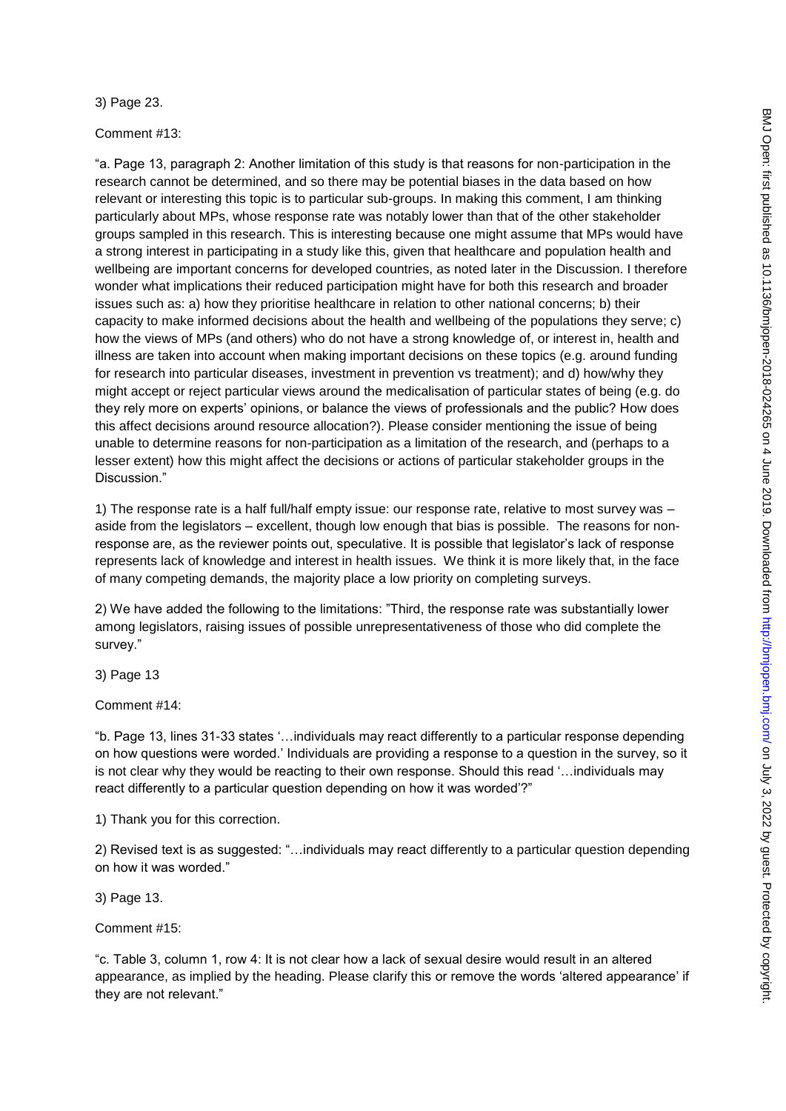3) Page 23.

Comment #13:

"a. Page 13, paragraph 2: Another limitation of this study is that reasons for non-participation in the research cannot be determined, and so there may be potential biases in the data based on how relevant or interesting this topic is to particular sub-groups. In making this comment, I am thinking particularly about MPs, whose response rate was notably lower than that of the other stakeholder groups sampled in this research. This is interesting because one might assume that MPs would have a strong interest in participating in a study like this, given that healthcare and population health and wellbeing are important concerns for developed countries, as noted later in the Discussion. I therefore wonder what implications their reduced participation might have for both this research and broader issues such as: a) how they prioritise healthcare in relation to other national concerns; b) their capacity to make informed decisions about the health and wellbeing of the populations they serve; c) how the views of MPs (and others) who do not have a strong knowledge of, or interest in, health and illness are taken into account when making important decisions on these topics (e.g. around funding for research into particular diseases, investment in prevention vs treatment); and d) how/why they might accept or reject particular views around the medicalisation of particular states of being (e.g. do they rely more on experts' opinions, or balance the views of professionals and the public? How does this affect decisions around resource allocation?). Please consider mentioning the issue of being unable to determine reasons for non-participation as a limitation of the research, and (perhaps to a lesser extent) how this might affect the decisions or actions of particular stakeholder groups in the Discussion."

1) The response rate is a half full/half empty issue: our response rate, relative to most survey was – aside from the legislators – excellent, though low enough that bias is possible. The reasons for nonresponse are, as the reviewer points out, speculative. It is possible that legislator's lack of response represents lack of knowledge and interest in health issues. We think it is more likely that, in the face of many competing demands, the majority place a low priority on completing surveys.

2) We have added the following to the limitations: "Third, the response rate was substantially lower among legislators, raising issues of possible unrepresentativeness of those who did complete the survey."

3) Page 13

Comment #14:

"b. Page 13, lines 31-33 states '…individuals may react differently to a particular response depending on how questions were worded.' Individuals are providing a response to a question in the survey, so it is not clear why they would be reacting to their own response. Should this read '…individuals may react differently to a particular question depending on how it was worded'?"

1) Thank you for this correction.

2) Revised text is as suggested: "…individuals may react differently to a particular question depending on how it was worded."

3) Page 13.

Comment #15:

"c. Table 3, column 1, row 4: It is not clear how a lack of sexual desire would result in an altered appearance, as implied by the heading. Please clarify this or remove the words 'altered appearance' if they are not relevant."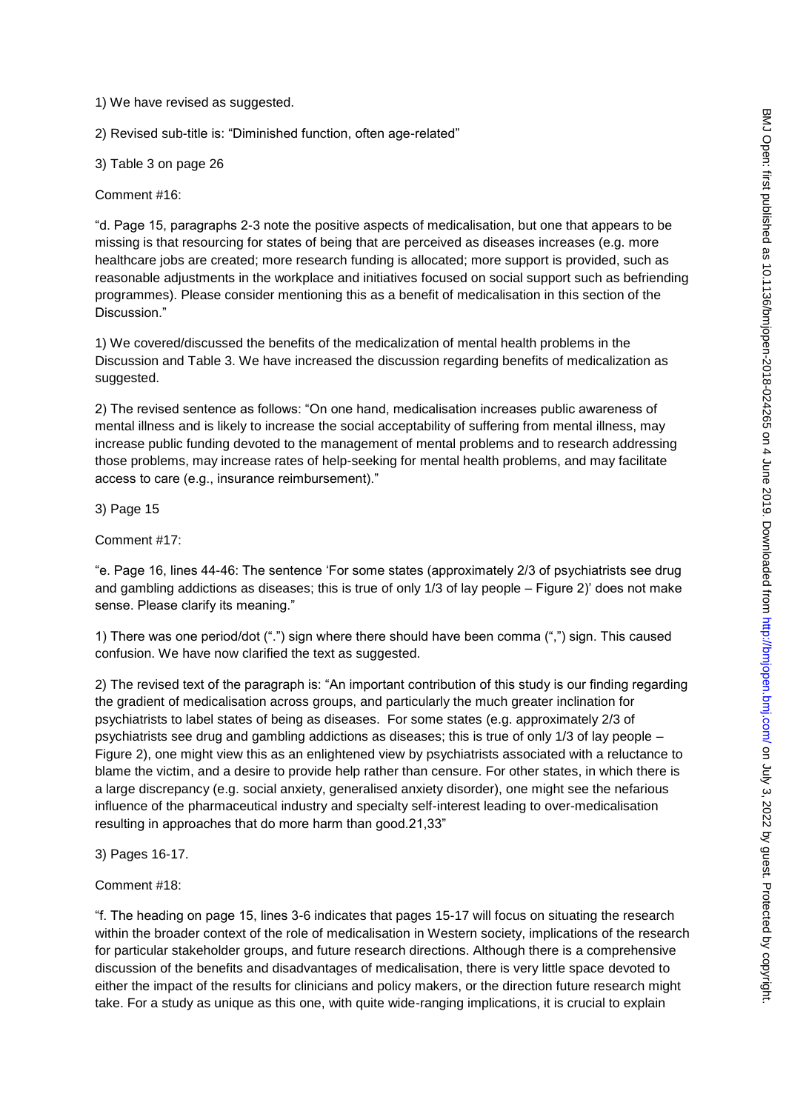1) We have revised as suggested.

2) Revised sub-title is: "Diminished function, often age-related"

3) Table 3 on page 26

Comment #16:

"d. Page 15, paragraphs 2-3 note the positive aspects of medicalisation, but one that appears to be missing is that resourcing for states of being that are perceived as diseases increases (e.g. more healthcare jobs are created; more research funding is allocated; more support is provided, such as reasonable adjustments in the workplace and initiatives focused on social support such as befriending programmes). Please consider mentioning this as a benefit of medicalisation in this section of the Discussion."

1) We covered/discussed the benefits of the medicalization of mental health problems in the Discussion and Table 3. We have increased the discussion regarding benefits of medicalization as suggested.

2) The revised sentence as follows: "On one hand, medicalisation increases public awareness of mental illness and is likely to increase the social acceptability of suffering from mental illness, may increase public funding devoted to the management of mental problems and to research addressing those problems, may increase rates of help-seeking for mental health problems, and may facilitate access to care (e.g., insurance reimbursement)."

3) Page 15

Comment #17:

"e. Page 16, lines 44-46: The sentence 'For some states (approximately 2/3 of psychiatrists see drug and gambling addictions as diseases; this is true of only 1/3 of lay people – Figure 2)' does not make sense. Please clarify its meaning."

1) There was one period/dot (".") sign where there should have been comma (",") sign. This caused confusion. We have now clarified the text as suggested.

2) The revised text of the paragraph is: "An important contribution of this study is our finding regarding the gradient of medicalisation across groups, and particularly the much greater inclination for psychiatrists to label states of being as diseases. For some states (e.g. approximately 2/3 of psychiatrists see drug and gambling addictions as diseases; this is true of only 1/3 of lay people – Figure 2), one might view this as an enlightened view by psychiatrists associated with a reluctance to blame the victim, and a desire to provide help rather than censure. For other states, in which there is a large discrepancy (e.g. social anxiety, generalised anxiety disorder), one might see the nefarious influence of the pharmaceutical industry and specialty self-interest leading to over-medicalisation resulting in approaches that do more harm than good.21,33"

3) Pages 16-17.

Comment #18:

"f. The heading on page 15, lines 3-6 indicates that pages 15-17 will focus on situating the research within the broader context of the role of medicalisation in Western society, implications of the research for particular stakeholder groups, and future research directions. Although there is a comprehensive discussion of the benefits and disadvantages of medicalisation, there is very little space devoted to either the impact of the results for clinicians and policy makers, or the direction future research might take. For a study as unique as this one, with quite wide-ranging implications, it is crucial to explain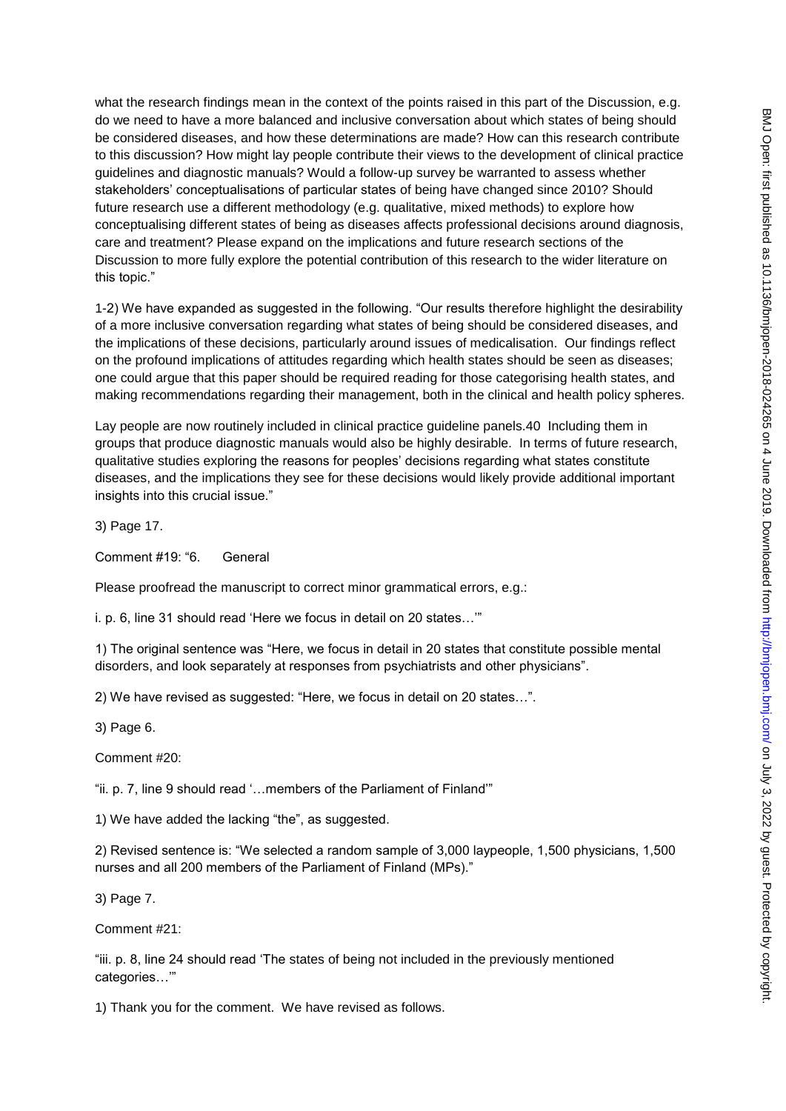what the research findings mean in the context of the points raised in this part of the Discussion, e.g. do we need to have a more balanced and inclusive conversation about which states of being should be considered diseases, and how these determinations are made? How can this research contribute to this discussion? How might lay people contribute their views to the development of clinical practice guidelines and diagnostic manuals? Would a follow-up survey be warranted to assess whether stakeholders' conceptualisations of particular states of being have changed since 2010? Should future research use a different methodology (e.g. qualitative, mixed methods) to explore how conceptualising different states of being as diseases affects professional decisions around diagnosis, care and treatment? Please expand on the implications and future research sections of the Discussion to more fully explore the potential contribution of this research to the wider literature on this topic."

1-2) We have expanded as suggested in the following. "Our results therefore highlight the desirability of a more inclusive conversation regarding what states of being should be considered diseases, and the implications of these decisions, particularly around issues of medicalisation. Our findings reflect on the profound implications of attitudes regarding which health states should be seen as diseases; one could argue that this paper should be required reading for those categorising health states, and making recommendations regarding their management, both in the clinical and health policy spheres.

Lay people are now routinely included in clinical practice guideline panels.40 Including them in groups that produce diagnostic manuals would also be highly desirable. In terms of future research, qualitative studies exploring the reasons for peoples' decisions regarding what states constitute diseases, and the implications they see for these decisions would likely provide additional important insights into this crucial issue."

3) Page 17.

Comment #19: "6. General

Please proofread the manuscript to correct minor grammatical errors, e.g.:

i. p. 6, line 31 should read 'Here we focus in detail on 20 states…'"

1) The original sentence was "Here, we focus in detail in 20 states that constitute possible mental disorders, and look separately at responses from psychiatrists and other physicians".

2) We have revised as suggested: "Here, we focus in detail on 20 states…".

3) Page 6.

Comment #20:

"ii. p. 7, line 9 should read '…members of the Parliament of Finland'"

1) We have added the lacking "the", as suggested.

2) Revised sentence is: "We selected a random sample of 3,000 laypeople, 1,500 physicians, 1,500 nurses and all 200 members of the Parliament of Finland (MPs)."

3) Page 7.

Comment #21:

"iii. p. 8, line 24 should read 'The states of being not included in the previously mentioned categories…'"

1) Thank you for the comment. We have revised as follows.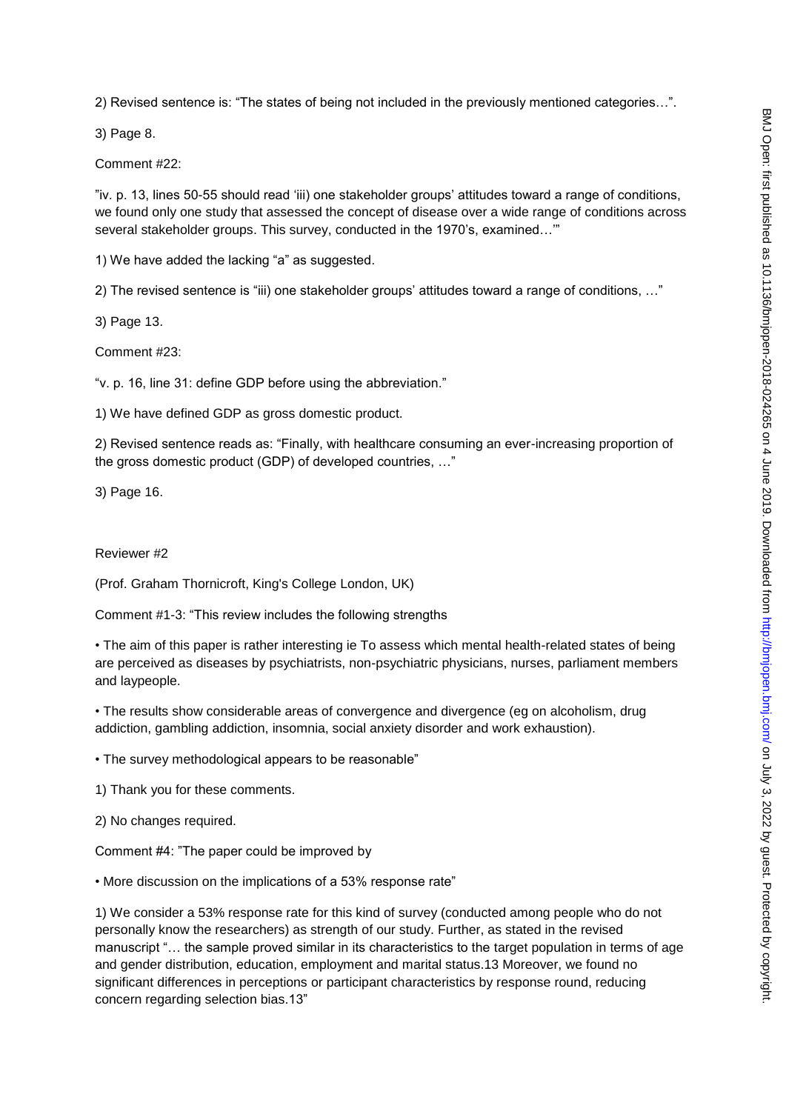2) Revised sentence is: "The states of being not included in the previously mentioned categories…".

3) Page 8.

Comment #22:

"iv. p. 13, lines 50-55 should read 'iii) one stakeholder groups' attitudes toward a range of conditions, we found only one study that assessed the concept of disease over a wide range of conditions across several stakeholder groups. This survey, conducted in the 1970's, examined…'"

1) We have added the lacking "a" as suggested.

2) The revised sentence is "iii) one stakeholder groups' attitudes toward a range of conditions, …"

3) Page 13.

Comment #23:

"v. p. 16, line 31: define GDP before using the abbreviation."

1) We have defined GDP as gross domestic product.

2) Revised sentence reads as: "Finally, with healthcare consuming an ever-increasing proportion of the gross domestic product (GDP) of developed countries, …"

3) Page 16.

Reviewer #2

(Prof. Graham Thornicroft, King's College London, UK)

Comment #1-3: "This review includes the following strengths

• The aim of this paper is rather interesting ie To assess which mental health-related states of being are perceived as diseases by psychiatrists, non-psychiatric physicians, nurses, parliament members and laypeople.

• The results show considerable areas of convergence and divergence (eg on alcoholism, drug addiction, gambling addiction, insomnia, social anxiety disorder and work exhaustion).

• The survey methodological appears to be reasonable"

1) Thank you for these comments.

2) No changes required.

Comment #4: "The paper could be improved by

• More discussion on the implications of a 53% response rate"

1) We consider a 53% response rate for this kind of survey (conducted among people who do not personally know the researchers) as strength of our study. Further, as stated in the revised manuscript "… the sample proved similar in its characteristics to the target population in terms of age and gender distribution, education, employment and marital status.13 Moreover, we found no significant differences in perceptions or participant characteristics by response round, reducing concern regarding selection bias.13"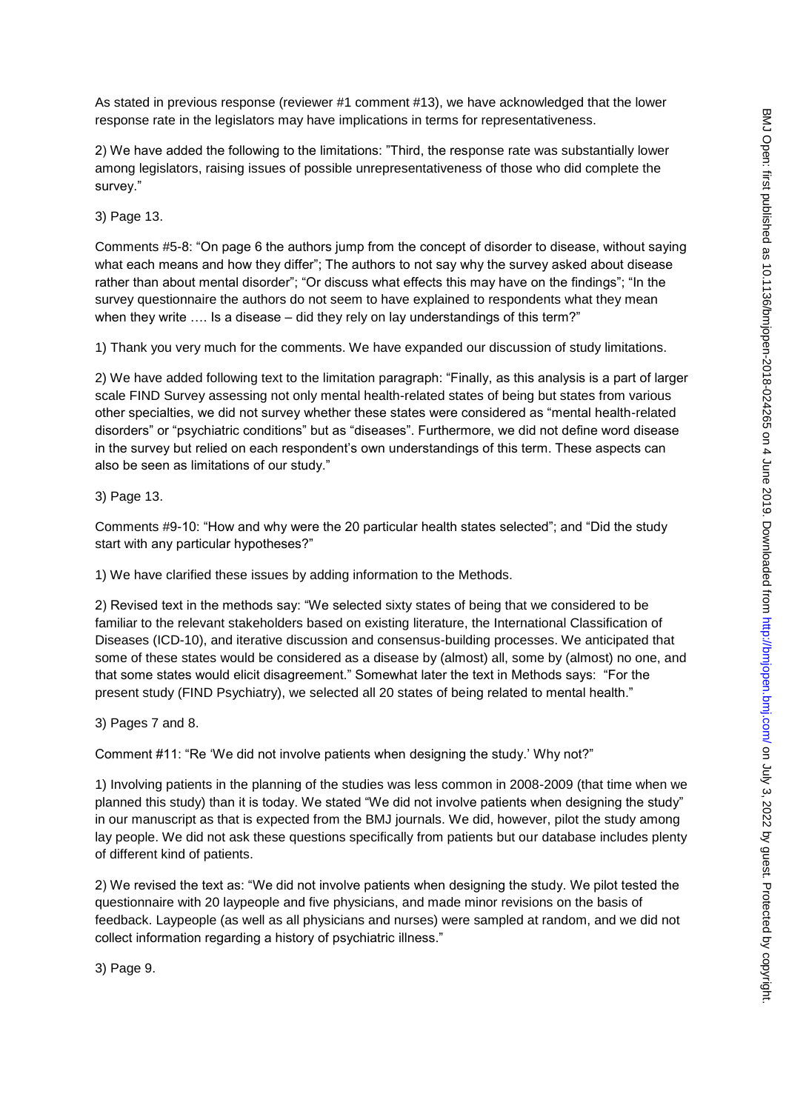As stated in previous response (reviewer #1 comment #13), we have acknowledged that the lower response rate in the legislators may have implications in terms for representativeness.

2) We have added the following to the limitations: "Third, the response rate was substantially lower among legislators, raising issues of possible unrepresentativeness of those who did complete the survey."

3) Page 13.

Comments #5-8: "On page 6 the authors jump from the concept of disorder to disease, without saying what each means and how they differ"; The authors to not say why the survey asked about disease rather than about mental disorder"; "Or discuss what effects this may have on the findings"; "In the survey questionnaire the authors do not seem to have explained to respondents what they mean when they write .... Is a disease – did they rely on lay understandings of this term?"

1) Thank you very much for the comments. We have expanded our discussion of study limitations.

2) We have added following text to the limitation paragraph: "Finally, as this analysis is a part of larger scale FIND Survey assessing not only mental health-related states of being but states from various other specialties, we did not survey whether these states were considered as "mental health-related disorders" or "psychiatric conditions" but as "diseases". Furthermore, we did not define word disease in the survey but relied on each respondent's own understandings of this term. These aspects can also be seen as limitations of our study."

3) Page 13.

Comments #9-10: "How and why were the 20 particular health states selected"; and "Did the study start with any particular hypotheses?"

1) We have clarified these issues by adding information to the Methods.

2) Revised text in the methods say: "We selected sixty states of being that we considered to be familiar to the relevant stakeholders based on existing literature, the International Classification of Diseases (ICD-10), and iterative discussion and consensus-building processes. We anticipated that some of these states would be considered as a disease by (almost) all, some by (almost) no one, and that some states would elicit disagreement." Somewhat later the text in Methods says: "For the present study (FIND Psychiatry), we selected all 20 states of being related to mental health."

3) Pages 7 and 8.

Comment #11: "Re 'We did not involve patients when designing the study.' Why not?"

1) Involving patients in the planning of the studies was less common in 2008-2009 (that time when we planned this study) than it is today. We stated "We did not involve patients when designing the study" in our manuscript as that is expected from the BMJ journals. We did, however, pilot the study among lay people. We did not ask these questions specifically from patients but our database includes plenty of different kind of patients.

2) We revised the text as: "We did not involve patients when designing the study. We pilot tested the questionnaire with 20 laypeople and five physicians, and made minor revisions on the basis of feedback. Laypeople (as well as all physicians and nurses) were sampled at random, and we did not collect information regarding a history of psychiatric illness."

3) Page 9.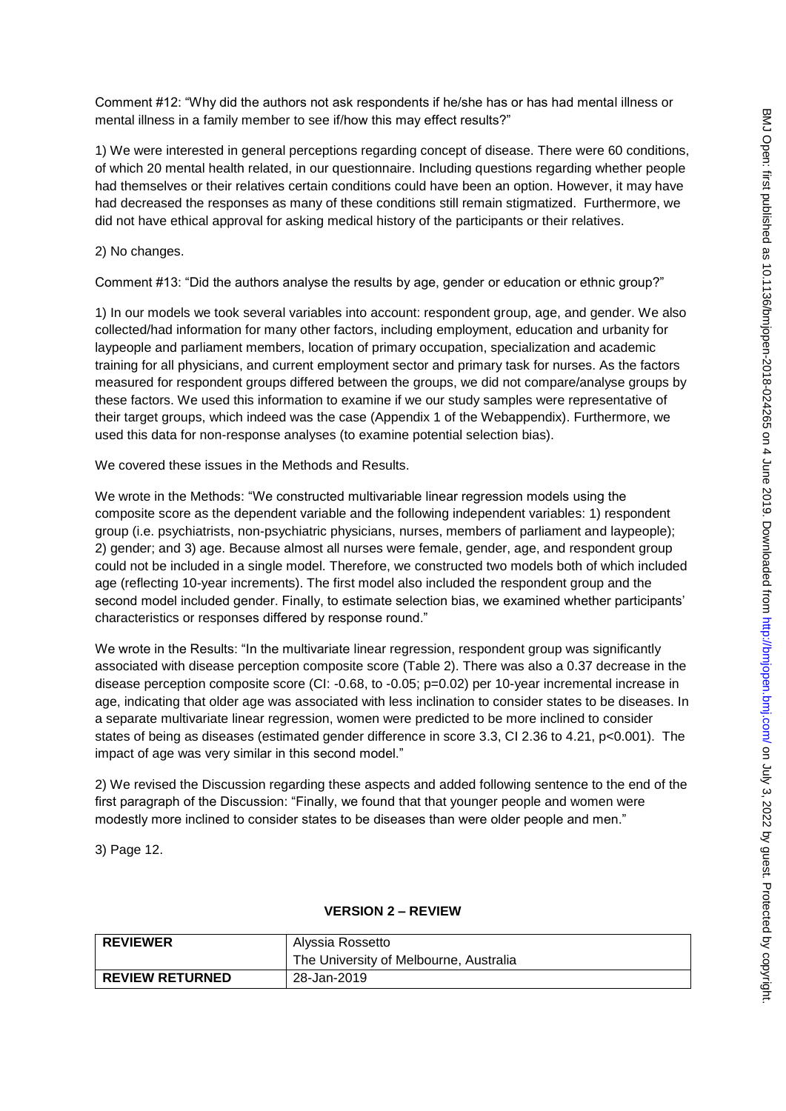Comment #12: "Why did the authors not ask respondents if he/she has or has had mental illness or mental illness in a family member to see if/how this may effect results?"

1) We were interested in general perceptions regarding concept of disease. There were 60 conditions, of which 20 mental health related, in our questionnaire. Including questions regarding whether people had themselves or their relatives certain conditions could have been an option. However, it may have had decreased the responses as many of these conditions still remain stigmatized. Furthermore, we did not have ethical approval for asking medical history of the participants or their relatives.

2) No changes.

Comment #13: "Did the authors analyse the results by age, gender or education or ethnic group?"

1) In our models we took several variables into account: respondent group, age, and gender. We also collected/had information for many other factors, including employment, education and urbanity for laypeople and parliament members, location of primary occupation, specialization and academic training for all physicians, and current employment sector and primary task for nurses. As the factors measured for respondent groups differed between the groups, we did not compare/analyse groups by these factors. We used this information to examine if we our study samples were representative of their target groups, which indeed was the case (Appendix 1 of the Webappendix). Furthermore, we used this data for non-response analyses (to examine potential selection bias).

We covered these issues in the Methods and Results.

We wrote in the Methods: "We constructed multivariable linear regression models using the composite score as the dependent variable and the following independent variables: 1) respondent group (i.e. psychiatrists, non-psychiatric physicians, nurses, members of parliament and laypeople); 2) gender; and 3) age. Because almost all nurses were female, gender, age, and respondent group could not be included in a single model. Therefore, we constructed two models both of which included age (reflecting 10-year increments). The first model also included the respondent group and the second model included gender. Finally, to estimate selection bias, we examined whether participants' characteristics or responses differed by response round."

We wrote in the Results: "In the multivariate linear regression, respondent group was significantly associated with disease perception composite score (Table 2). There was also a 0.37 decrease in the disease perception composite score (CI: -0.68, to -0.05; p=0.02) per 10-year incremental increase in age, indicating that older age was associated with less inclination to consider states to be diseases. In a separate multivariate linear regression, women were predicted to be more inclined to consider states of being as diseases (estimated gender difference in score 3.3, CI 2.36 to 4.21, p<0.001). The impact of age was very similar in this second model."

2) We revised the Discussion regarding these aspects and added following sentence to the end of the first paragraph of the Discussion: "Finally, we found that that younger people and women were modestly more inclined to consider states to be diseases than were older people and men."

3) Page 12.

| <b>REVIEWER</b>        | Alyssia Rossetto                       |
|------------------------|----------------------------------------|
|                        | The University of Melbourne, Australia |
| <b>REVIEW RETURNED</b> | 28-Jan-2019                            |

### **VERSION 2 – REVIEW**